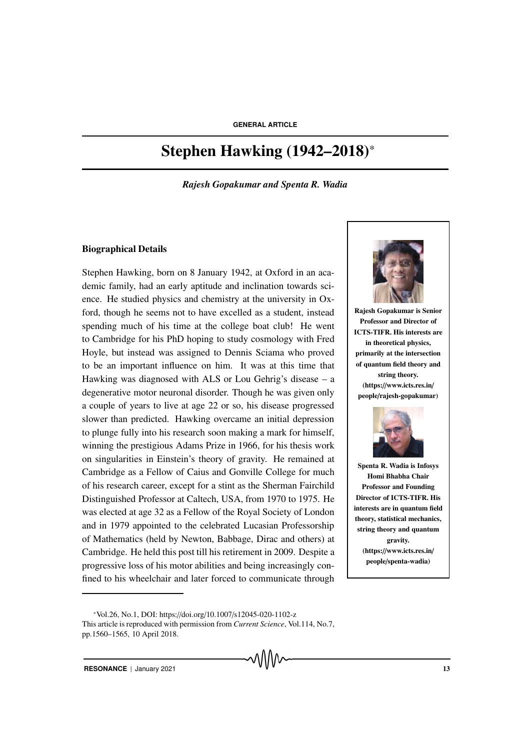# Stephen Hawking (1942–2018)\*

*Rajesh Gopakumar and Spenta R. Wadia*

#### Biographical Details

Stephen Hawking, born on 8 January 1942, at Oxford in an academic family, had an early aptitude and inclination towards science. He studied physics and chemistry at the university in Oxford, though he seems not to have excelled as a student, instead spending much of his time at the college boat club! He went to Cambridge for his PhD hoping to study cosmology with Fred Hoyle, but instead was assigned to Dennis Sciama who proved to be an important influence on him. It was at this time that Hawking was diagnosed with ALS or Lou Gehrig's disease – a degenerative motor neuronal disorder. Though he was given only a couple of years to live at age 22 or so, his disease progressed slower than predicted. Hawking overcame an initial depression to plunge fully into his research soon making a mark for himself, winning the prestigious Adams Prize in 1966, for his thesis work on singularities in Einstein's theory of gravity. He remained at Cambridge as a Fellow of Caius and Gonville College for much of his research career, except for a stint as the Sherman Fairchild Distinguished Professor at Caltech, USA, from 1970 to 1975. He was elected at age 32 as a Fellow of the Royal Society of London and in 1979 appointed to the celebrated Lucasian Professorship of Mathematics (held by Newton, Babbage, Dirac and others) at Cambridge. He held this post till his retirement in 2009. Despite a progressive loss of his motor abilities and being increasingly confined to his wheelchair and later forced to communicate through



Rajesh Gopakumar is Senior Professor and Director of ICTS-TIFR. His interests are in theoretical physics, primarily at the intersection of quantum field theory and string theory. (https://www.icts.res.in/ people/rajesh-gopakumar)



Spenta R. Wadia is Infosys Homi Bhabha Chair Professor and Founding Director of ICTS-TIFR. His interests are in quantum field theory, statistical mechanics, string theory and quantum gravity. (https://www.icts.res.in/ people/spenta-wadia)

<sup>\*</sup>Vol.26, No.1, DOI: https://doi.org/10.1007/s12045-020-1102-z This article is reproduced with permission from *Current Science*, Vol.114, No.7, pp.1560–1565, 10 April 2018.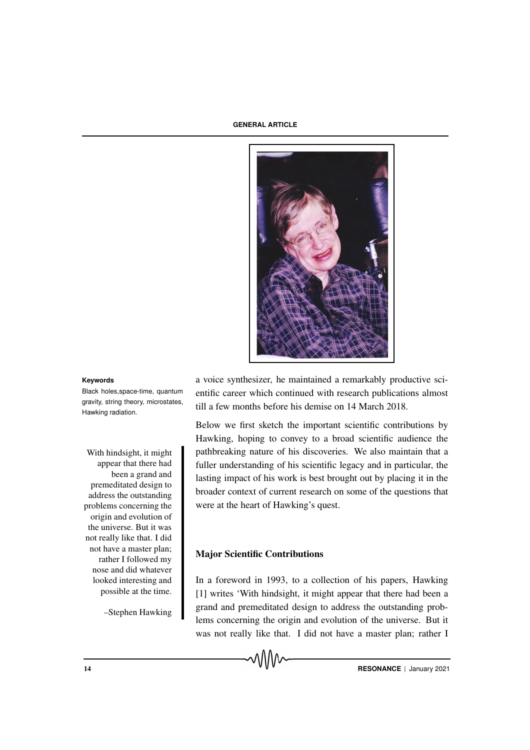

Black holes,space-time, quantum gravity, string theory, microstates, Hawking radiation.

appear that there had been a grand and premeditated design to address the outstanding problems concerning the origin and evolution of the universe. But it was not really like that. I did not have a master plan; rather I followed my nose and did whatever looked interesting and possible at the time.

–Stephen Hawking

**Keywords** a voice synthesizer, he maintained a remarkably productive scientific career which continued with research publications almost till a few months before his demise on 14 March 2018.

Below we first sketch the important scientific contributions by Hawking, hoping to convey to a broad scientific audience the With hindsight, it might pathbreaking nature of his discoveries. We also maintain that a fuller understanding of his scientific legacy and in particular, the lasting impact of his work is best brought out by placing it in the broader context of current research on some of the questions that were at the heart of Hawking's quest.

#### Major Scientific Contributions

In a foreword in 1993, to a collection of his papers, Hawking [1] writes 'With hindsight, it might appear that there had been a grand and premeditated design to address the outstanding problems concerning the origin and evolution of the universe. But it was not really like that. I did not have a master plan; rather I

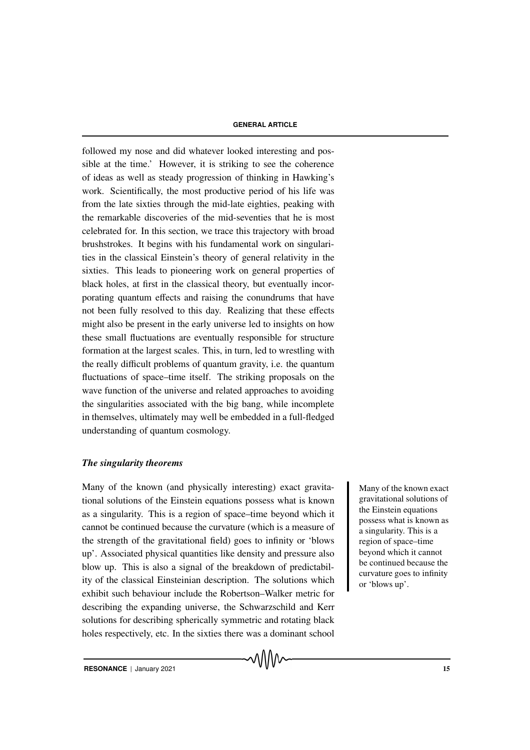followed my nose and did whatever looked interesting and possible at the time.' However, it is striking to see the coherence of ideas as well as steady progression of thinking in Hawking's work. Scientifically, the most productive period of his life was from the late sixties through the mid-late eighties, peaking with the remarkable discoveries of the mid-seventies that he is most celebrated for. In this section, we trace this trajectory with broad brushstrokes. It begins with his fundamental work on singularities in the classical Einstein's theory of general relativity in the sixties. This leads to pioneering work on general properties of black holes, at first in the classical theory, but eventually incorporating quantum effects and raising the conundrums that have not been fully resolved to this day. Realizing that these effects might also be present in the early universe led to insights on how these small fluctuations are eventually responsible for structure formation at the largest scales. This, in turn, led to wrestling with the really difficult problems of quantum gravity, i.e. the quantum fluctuations of space–time itself. The striking proposals on the wave function of the universe and related approaches to avoiding the singularities associated with the big bang, while incomplete in themselves, ultimately may well be embedded in a full-fledged understanding of quantum cosmology.

#### *The singularity theorems*

Many of the known (and physically interesting) exact gravita- Many of the known exact tional solutions of the Einstein equations possess what is known as a singularity. This is a region of space–time beyond which it cannot be continued because the curvature (which is a measure of the strength of the gravitational field) goes to infinity or 'blows up'. Associated physical quantities like density and pressure also blow up. This is also a signal of the breakdown of predictability of the classical Einsteinian description. The solutions which exhibit such behaviour include the Robertson–Walker metric for describing the expanding universe, the Schwarzschild and Kerr solutions for describing spherically symmetric and rotating black holes respectively, etc. In the sixties there was a dominant school

gravitational solutions of the Einstein equations possess what is known as a singularity. This is a region of space–time beyond which it cannot be continued because the curvature goes to infinity or 'blows up'.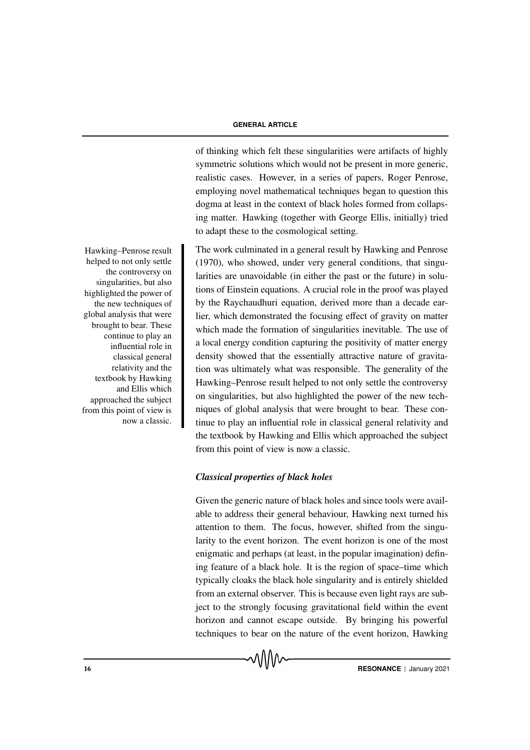of thinking which felt these singularities were artifacts of highly symmetric solutions which would not be present in more generic, realistic cases. However, in a series of papers, Roger Penrose, employing novel mathematical techniques began to question this dogma at least in the context of black holes formed from collapsing matter. Hawking (together with George Ellis, initially) tried to adapt these to the cosmological setting.

The work culminated in a general result by Hawking and Penrose (1970), who showed, under very general conditions, that singularities are unavoidable (in either the past or the future) in solutions of Einstein equations. A crucial role in the proof was played by the Raychaudhuri equation, derived more than a decade earlier, which demonstrated the focusing effect of gravity on matter which made the formation of singularities inevitable. The use of a local energy condition capturing the positivity of matter energy density showed that the essentially attractive nature of gravitation was ultimately what was responsible. The generality of the Hawking–Penrose result helped to not only settle the controversy on singularities, but also highlighted the power of the new techniques of global analysis that were brought to bear. These continue to play an influential role in classical general relativity and the textbook by Hawking and Ellis which approached the subject from this point of view is now a classic.

### *Classical properties of black holes*

Given the generic nature of black holes and since tools were available to address their general behaviour, Hawking next turned his attention to them. The focus, however, shifted from the singularity to the event horizon. The event horizon is one of the most enigmatic and perhaps (at least, in the popular imagination) defining feature of a black hole. It is the region of space–time which typically cloaks the black hole singularity and is entirely shielded from an external observer. This is because even light rays are subject to the strongly focusing gravitational field within the event horizon and cannot escape outside. By bringing his powerful techniques to bear on the nature of the event horizon, Hawking

Hawking–Penrose result helped to not only settle the controversy on singularities, but also highlighted the power of the new techniques of global analysis that were brought to bear. These continue to play an influential role in classical general relativity and the textbook by Hawking and Ellis which approached the subject from this point of view is now a classic.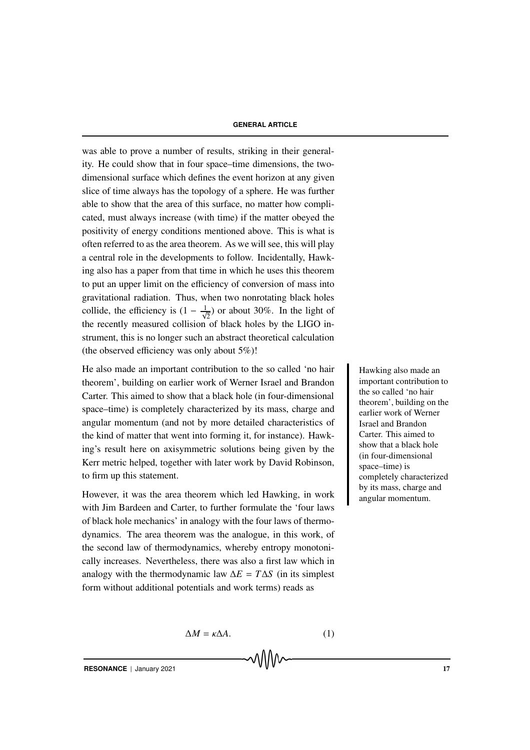was able to prove a number of results, striking in their generality. He could show that in four space–time dimensions, the twodimensional surface which defines the event horizon at any given slice of time always has the topology of a sphere. He was further able to show that the area of this surface, no matter how complicated, must always increase (with time) if the matter obeyed the positivity of energy conditions mentioned above. This is what is often referred to as the area theorem. As we will see, this will play a central role in the developments to follow. Incidentally, Hawking also has a paper from that time in which he uses this theorem to put an upper limit on the efficiency of conversion of mass into gravitational radiation. Thus, when two nonrotating black holes collide, the efficiency is  $(1 - \frac{1}{\sqrt{2}})$  or about 30%. In the light of the recently measured collision of black holes by the LIGO instrument, this is no longer such an abstract theoretical calculation (the observed efficiency was only about 5%)!

He also made an important contribution to the so called 'no hair Hawking also made an theorem', building on earlier work of Werner Israel and Brandon Carter. This aimed to show that a black hole (in four-dimensional space–time) is completely characterized by its mass, charge and angular momentum (and not by more detailed characteristics of the kind of matter that went into forming it, for instance). Hawking's result here on axisymmetric solutions being given by the Kerr metric helped, together with later work by David Robinson, to firm up this statement.

However, it was the area theorem which led Hawking, in work with Jim Bardeen and Carter, to further formulate the 'four laws of black hole mechanics' in analogy with the four laws of thermodynamics. The area theorem was the analogue, in this work, of the second law of thermodynamics, whereby entropy monotonically increases. Nevertheless, there was also a first law which in analogy with the thermodynamic law  $\Delta E = T \Delta S$  (in its simplest form without additional potentials and work terms) reads as

important contribution to the so called 'no hair theorem', building on the earlier work of Werner Israel and Brandon Carter. This aimed to show that a black hole (in four-dimensional space–time) is completely characterized by its mass, charge and angular momentum.

 $\Delta M = \kappa \Delta A$ . (1)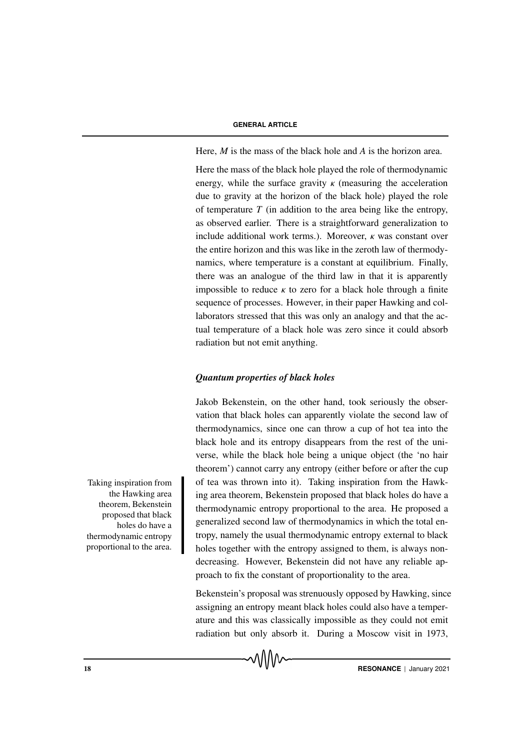Here, *M* is the mass of the black hole and *A* is the horizon area.

Here the mass of the black hole played the role of thermodynamic energy, while the surface gravity  $\kappa$  (measuring the acceleration due to gravity at the horizon of the black hole) played the role of temperature *T* (in addition to the area being like the entropy, as observed earlier. There is a straightforward generalization to include additional work terms.). Moreover,  $\kappa$  was constant over the entire horizon and this was like in the zeroth law of thermodynamics, where temperature is a constant at equilibrium. Finally, there was an analogue of the third law in that it is apparently impossible to reduce  $\kappa$  to zero for a black hole through a finite sequence of processes. However, in their paper Hawking and collaborators stressed that this was only an analogy and that the actual temperature of a black hole was zero since it could absorb radiation but not emit anything.

# *Quantum properties of black holes*

Jakob Bekenstein, on the other hand, took seriously the observation that black holes can apparently violate the second law of thermodynamics, since one can throw a cup of hot tea into the black hole and its entropy disappears from the rest of the universe, while the black hole being a unique object (the 'no hair theorem') cannot carry any entropy (either before or after the cup Taking inspiration from of tea was thrown into it). Taking inspiration from the Hawking area theorem, Bekenstein proposed that black holes do have a thermodynamic entropy proportional to the area. He proposed a generalized second law of thermodynamics in which the total entropy, namely the usual thermodynamic entropy external to black holes together with the entropy assigned to them, is always nondecreasing. However, Bekenstein did not have any reliable approach to fix the constant of proportionality to the area.

> Bekenstein's proposal was strenuously opposed by Hawking, since assigning an entropy meant black holes could also have a temperature and this was classically impossible as they could not emit radiation but only absorb it. During a Moscow visit in 1973,

the Hawking area theorem, Bekenstein proposed that black holes do have a thermodynamic entropy proportional to the area.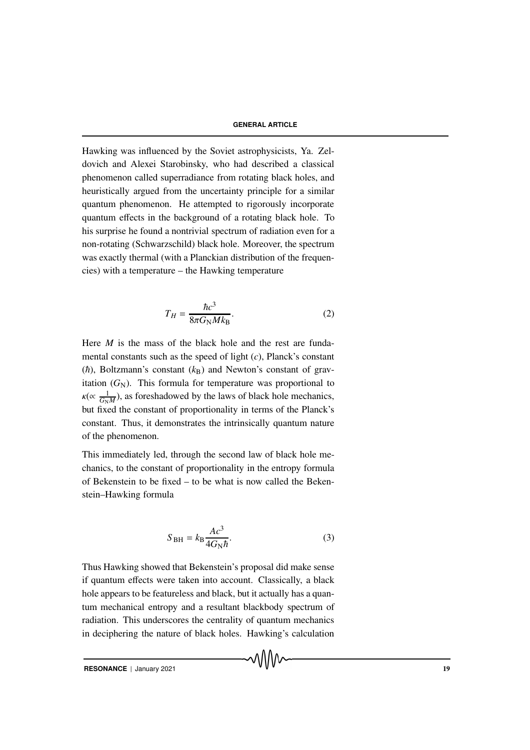Hawking was influenced by the Soviet astrophysicists, Ya. Zeldovich and Alexei Starobinsky, who had described a classical phenomenon called superradiance from rotating black holes, and heuristically argued from the uncertainty principle for a similar quantum phenomenon. He attempted to rigorously incorporate quantum effects in the background of a rotating black hole. To his surprise he found a nontrivial spectrum of radiation even for a non-rotating (Schwarzschild) black hole. Moreover, the spectrum was exactly thermal (with a Planckian distribution of the frequencies) with a temperature – the Hawking temperature

$$
T_H = \frac{\hbar c^3}{8\pi G_\text{N} M k_\text{B}}.\tag{2}
$$

Here *M* is the mass of the black hole and the rest are fundamental constants such as the speed of light (*c*), Planck's constant  $(\hbar)$ , Boltzmann's constant  $(k_B)$  and Newton's constant of gravitation  $(G_N)$ . This formula for temperature was proportional to  $\kappa(\propto \frac{1}{G_N})$  $\frac{1}{G_N M}$ ), as foreshadowed by the laws of black hole mechanics, but fixed the constant of proportionality in terms of the Planck's constant. Thus, it demonstrates the intrinsically quantum nature of the phenomenon.

This immediately led, through the second law of black hole mechanics, to the constant of proportionality in the entropy formula of Bekenstein to be fixed – to be what is now called the Bekenstein–Hawking formula

$$
S_{\text{BH}} = k_{\text{B}} \frac{Ac^3}{4G_{\text{N}}\hbar}.
$$
 (3)

Thus Hawking showed that Bekenstein's proposal did make sense if quantum effects were taken into account. Classically, a black hole appears to be featureless and black, but it actually has a quantum mechanical entropy and a resultant blackbody spectrum of radiation. This underscores the centrality of quantum mechanics in deciphering the nature of black holes. Hawking's calculation

**RESONANCE** | January 2021 19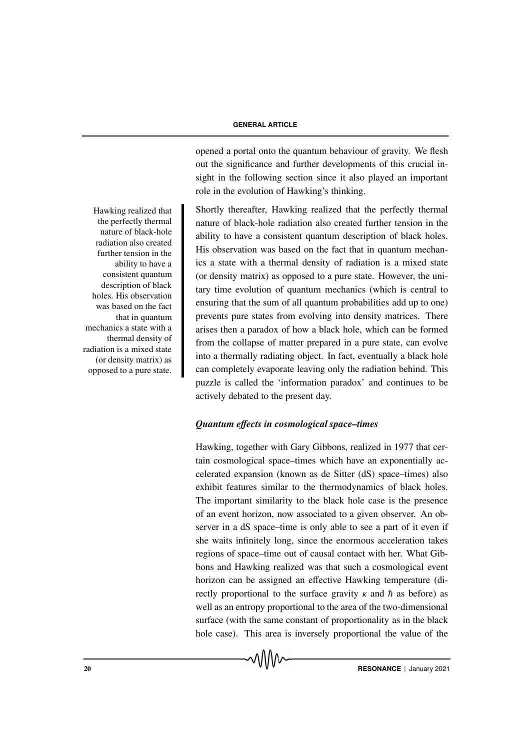opened a portal onto the quantum behaviour of gravity. We flesh out the significance and further developments of this crucial insight in the following section since it also played an important role in the evolution of Hawking's thinking.

Hawking realized that Shortly thereafter, Hawking realized that the perfectly thermal nature of black-hole radiation also created further tension in the ability to have a consistent quantum description of black holes. His observation was based on the fact that in quantum mechanics a state with a thermal density of radiation is a mixed state (or density matrix) as opposed to a pure state. However, the unitary time evolution of quantum mechanics (which is central to ensuring that the sum of all quantum probabilities add up to one) prevents pure states from evolving into density matrices. There arises then a paradox of how a black hole, which can be formed from the collapse of matter prepared in a pure state, can evolve into a thermally radiating object. In fact, eventually a black hole can completely evaporate leaving only the radiation behind. This puzzle is called the 'information paradox' and continues to be actively debated to the present day.

### *Quantum e*ff*ects in cosmological space–times*

Hawking, together with Gary Gibbons, realized in 1977 that certain cosmological space–times which have an exponentially accelerated expansion (known as de Sitter (dS) space–times) also exhibit features similar to the thermodynamics of black holes. The important similarity to the black hole case is the presence of an event horizon, now associated to a given observer. An observer in a dS space–time is only able to see a part of it even if she waits infinitely long, since the enormous acceleration takes regions of space–time out of causal contact with her. What Gibbons and Hawking realized was that such a cosmological event horizon can be assigned an effective Hawking temperature (directly proportional to the surface gravity  $\kappa$  and  $\hbar$  as before) as well as an entropy proportional to the area of the two-dimensional surface (with the same constant of proportionality as in the black hole case). This area is inversely proportional the value of the

the perfectly thermal nature of black-hole radiation also created further tension in the ability to have a consistent quantum description of black holes. His observation was based on the fact that in quantum mechanics a state with a thermal density of radiation is a mixed state (or density matrix) as opposed to a pure state.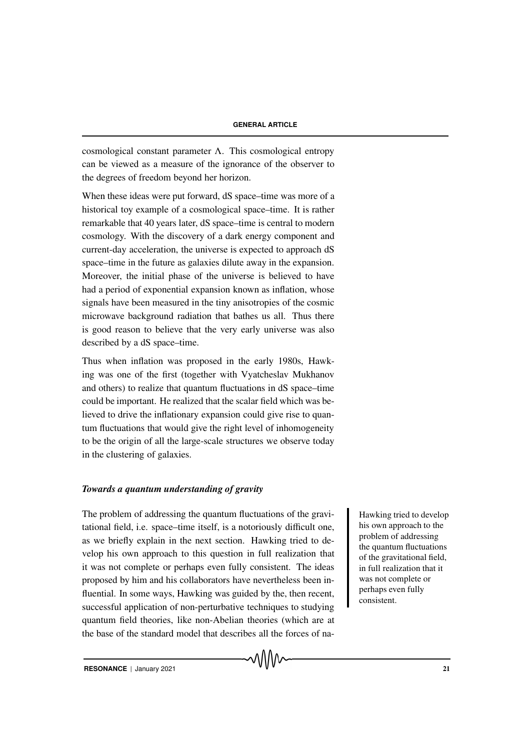cosmological constant parameter Λ. This cosmological entropy can be viewed as a measure of the ignorance of the observer to the degrees of freedom beyond her horizon.

When these ideas were put forward, dS space–time was more of a historical toy example of a cosmological space–time. It is rather remarkable that 40 years later, dS space–time is central to modern cosmology. With the discovery of a dark energy component and current-day acceleration, the universe is expected to approach dS space–time in the future as galaxies dilute away in the expansion. Moreover, the initial phase of the universe is believed to have had a period of exponential expansion known as inflation, whose signals have been measured in the tiny anisotropies of the cosmic microwave background radiation that bathes us all. Thus there is good reason to believe that the very early universe was also described by a dS space–time.

Thus when inflation was proposed in the early 1980s, Hawking was one of the first (together with Vyatcheslav Mukhanov and others) to realize that quantum fluctuations in dS space–time could be important. He realized that the scalar field which was believed to drive the inflationary expansion could give rise to quantum fluctuations that would give the right level of inhomogeneity to be the origin of all the large-scale structures we observe today in the clustering of galaxies.

#### *Towards a quantum understanding of gravity*

The problem of addressing the quantum fluctuations of the gravi-<br>Hawking tried to develop tational field, i.e. space–time itself, is a notoriously difficult one, as we briefly explain in the next section. Hawking tried to develop his own approach to this question in full realization that it was not complete or perhaps even fully consistent. The ideas proposed by him and his collaborators have nevertheless been influential. In some ways, Hawking was guided by the, then recent, successful application of non-perturbative techniques to studying quantum field theories, like non-Abelian theories (which are at the base of the standard model that describes all the forces of na-

√∖∧∧

his own approach to the problem of addressing the quantum fluctuations of the gravitational field, in full realization that it was not complete or perhaps even fully consistent.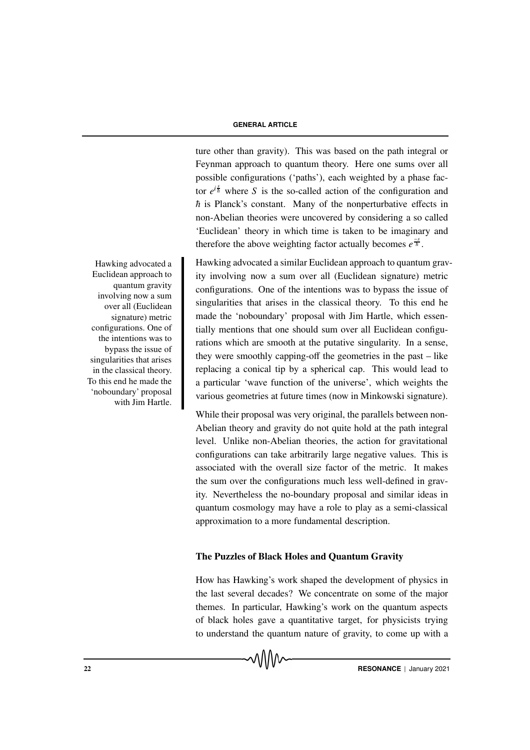ture other than gravity). This was based on the path integral or Feynman approach to quantum theory. Here one sums over all possible configurations ('paths'), each weighted by a phase factor  $e^{i\frac{s}{h}}$  where *S* is the so-called action of the configuration and  $\hbar$  is Planck's constant. Many of the nonperturbative effects in non-Abelian theories were uncovered by considering a so called 'Euclidean' theory in which time is taken to be imaginary and therefore the above weighting factor actually becomes  $e^{-\frac{s}{\hbar}}$ .

Hawking advocated a similar Euclidean approach to quantum gravity involving now a sum over all (Euclidean signature) metric configurations. One of the intentions was to bypass the issue of singularities that arises in the classical theory. To this end he made the 'noboundary' proposal with Jim Hartle, which essentially mentions that one should sum over all Euclidean configurations which are smooth at the putative singularity. In a sense, they were smoothly capping-off the geometries in the past – like replacing a conical tip by a spherical cap. This would lead to a particular 'wave function of the universe', which weights the various geometries at future times (now in Minkowski signature).

While their proposal was very original, the parallels between non-Abelian theory and gravity do not quite hold at the path integral level. Unlike non-Abelian theories, the action for gravitational configurations can take arbitrarily large negative values. This is associated with the overall size factor of the metric. It makes the sum over the configurations much less well-defined in gravity. Nevertheless the no-boundary proposal and similar ideas in quantum cosmology may have a role to play as a semi-classical approximation to a more fundamental description.

#### The Puzzles of Black Holes and Quantum Gravity

How has Hawking's work shaped the development of physics in the last several decades? We concentrate on some of the major themes. In particular, Hawking's work on the quantum aspects of black holes gave a quantitative target, for physicists trying to understand the quantum nature of gravity, to come up with a

Hawking advocated a Euclidean approach to quantum gravity involving now a sum over all (Euclidean signature) metric configurations. One of the intentions was to bypass the issue of singularities that arises in the classical theory. To this end he made the 'noboundary' proposal with Jim Hartle.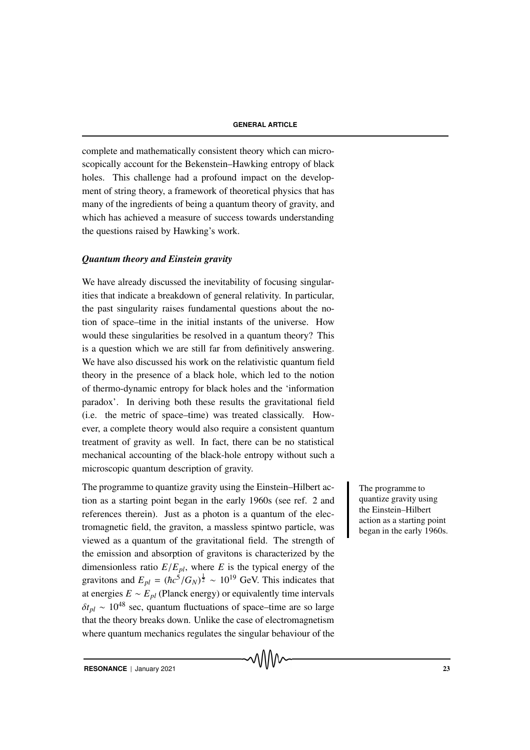complete and mathematically consistent theory which can microscopically account for the Bekenstein–Hawking entropy of black holes. This challenge had a profound impact on the development of string theory, a framework of theoretical physics that has many of the ingredients of being a quantum theory of gravity, and which has achieved a measure of success towards understanding the questions raised by Hawking's work.

#### *Quantum theory and Einstein gravity*

We have already discussed the inevitability of focusing singularities that indicate a breakdown of general relativity. In particular, the past singularity raises fundamental questions about the notion of space–time in the initial instants of the universe. How would these singularities be resolved in a quantum theory? This is a question which we are still far from definitively answering. We have also discussed his work on the relativistic quantum field theory in the presence of a black hole, which led to the notion of thermo-dynamic entropy for black holes and the 'information paradox'. In deriving both these results the gravitational field (i.e. the metric of space–time) was treated classically. However, a complete theory would also require a consistent quantum treatment of gravity as well. In fact, there can be no statistical mechanical accounting of the black-hole entropy without such a microscopic quantum description of gravity.

The programme to quantize gravity using the Einstein–Hilbert ac-<br>
The programme to tion as a starting point began in the early 1960s (see ref. 2 and references therein). Just as a photon is a quantum of the electromagnetic field, the graviton, a massless spintwo particle, was viewed as a quantum of the gravitational field. The strength of the emission and absorption of gravitons is characterized by the dimensionless ratio  $E/E_{pl}$ , where *E* is the typical energy of the gravitons and  $E_{pl} = (\hbar c^5 / G_N)^{\frac{1}{2}} \sim 10^{19}$  GeV. This indicates that at energies  $E \sim E_{pl}$  (Planck energy) or equivalently time intervals  $\delta t_{pl} \sim 10^{48}$  sec, quantum fluctuations of space–time are so large that the theory breaks down. Unlike the case of electromagnetism where quantum mechanics regulates the singular behaviour of the

quantize gravity using the Einstein–Hilbert action as a starting point began in the early 1960s.

**RESONANCE** | January 2021 23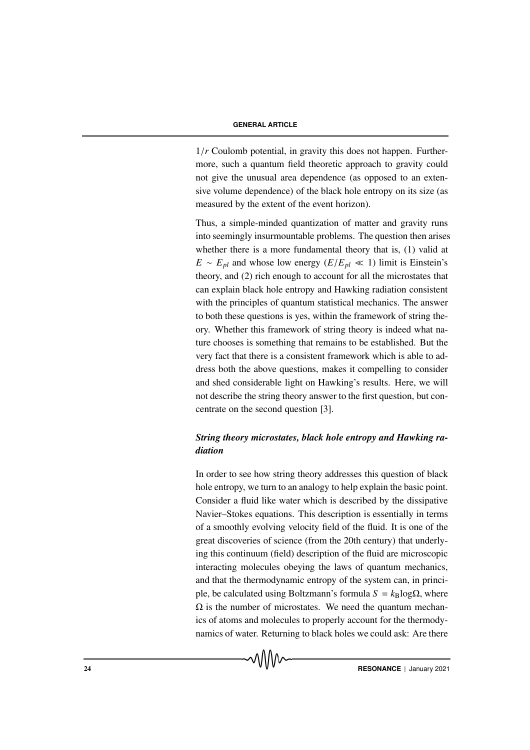1/*r* Coulomb potential, in gravity this does not happen. Furthermore, such a quantum field theoretic approach to gravity could not give the unusual area dependence (as opposed to an extensive volume dependence) of the black hole entropy on its size (as measured by the extent of the event horizon).

Thus, a simple-minded quantization of matter and gravity runs into seemingly insurmountable problems. The question then arises whether there is a more fundamental theory that is, (1) valid at  $E \sim E_{pl}$  and whose low energy ( $E/E_{pl} \ll 1$ ) limit is Einstein's theory, and (2) rich enough to account for all the microstates that can explain black hole entropy and Hawking radiation consistent with the principles of quantum statistical mechanics. The answer to both these questions is yes, within the framework of string theory. Whether this framework of string theory is indeed what nature chooses is something that remains to be established. But the very fact that there is a consistent framework which is able to address both the above questions, makes it compelling to consider and shed considerable light on Hawking's results. Here, we will not describe the string theory answer to the first question, but concentrate on the second question [3].

# *String theory microstates, black hole entropy and Hawking radiation*

In order to see how string theory addresses this question of black hole entropy, we turn to an analogy to help explain the basic point. Consider a fluid like water which is described by the dissipative Navier–Stokes equations. This description is essentially in terms of a smoothly evolving velocity field of the fluid. It is one of the great discoveries of science (from the 20th century) that underlying this continuum (field) description of the fluid are microscopic interacting molecules obeying the laws of quantum mechanics, and that the thermodynamic entropy of the system can, in principle, be calculated using Boltzmann's formula  $S = k_B \log \Omega$ , where  $\Omega$  is the number of microstates. We need the quantum mechanics of atoms and molecules to properly account for the thermodynamics of water. Returning to black holes we could ask: Are there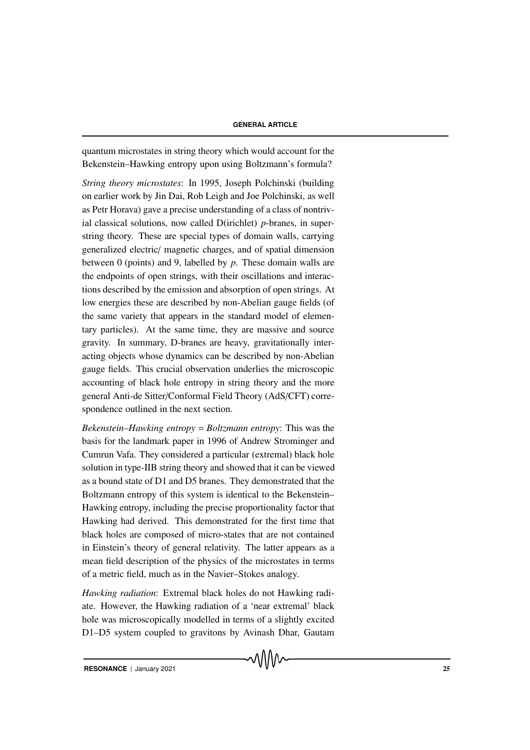quantum microstates in string theory which would account for the Bekenstein–Hawking entropy upon using Boltzmann's formula?

*String theory microstates*: In 1995, Joseph Polchinski (building on earlier work by Jin Dai, Rob Leigh and Joe Polchinski, as well as Petr Horava) gave a precise understanding of a class of nontrivial classical solutions, now called D(irichlet) *p*-branes, in superstring theory. These are special types of domain walls, carrying generalized electric/ magnetic charges, and of spatial dimension between 0 (points) and 9, labelled by *p*. These domain walls are the endpoints of open strings, with their oscillations and interactions described by the emission and absorption of open strings. At low energies these are described by non-Abelian gauge fields (of the same variety that appears in the standard model of elementary particles). At the same time, they are massive and source gravity. In summary, D-branes are heavy, gravitationally interacting objects whose dynamics can be described by non-Abelian gauge fields. This crucial observation underlies the microscopic accounting of black hole entropy in string theory and the more general Anti-de Sitter/Conformal Field Theory (AdS/CFT) correspondence outlined in the next section.

*Bekenstein–Hawking entropy* = *Boltzmann entropy*: This was the basis for the landmark paper in 1996 of Andrew Strominger and Cumrun Vafa. They considered a particular (extremal) black hole solution in type-IIB string theory and showed that it can be viewed as a bound state of D1 and D5 branes. They demonstrated that the Boltzmann entropy of this system is identical to the Bekenstein– Hawking entropy, including the precise proportionality factor that Hawking had derived. This demonstrated for the first time that black holes are composed of micro-states that are not contained in Einstein's theory of general relativity. The latter appears as a mean field description of the physics of the microstates in terms of a metric field, much as in the Navier–Stokes analogy.

*Hawking radiation*: Extremal black holes do not Hawking radiate. However, the Hawking radiation of a 'near extremal' black hole was microscopically modelled in terms of a slightly excited D1–D5 system coupled to gravitons by Avinash Dhar, Gautam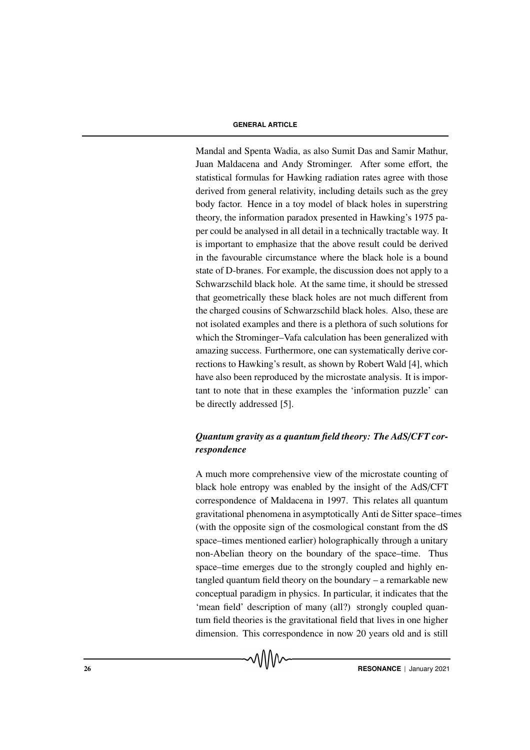Mandal and Spenta Wadia, as also Sumit Das and Samir Mathur, Juan Maldacena and Andy Strominger. After some effort, the statistical formulas for Hawking radiation rates agree with those derived from general relativity, including details such as the grey body factor. Hence in a toy model of black holes in superstring theory, the information paradox presented in Hawking's 1975 paper could be analysed in all detail in a technically tractable way. It is important to emphasize that the above result could be derived in the favourable circumstance where the black hole is a bound state of D-branes. For example, the discussion does not apply to a Schwarzschild black hole. At the same time, it should be stressed that geometrically these black holes are not much different from the charged cousins of Schwarzschild black holes. Also, these are not isolated examples and there is a plethora of such solutions for which the Strominger–Vafa calculation has been generalized with amazing success. Furthermore, one can systematically derive corrections to Hawking's result, as shown by Robert Wald [4], which have also been reproduced by the microstate analysis. It is important to note that in these examples the 'information puzzle' can be directly addressed [5].

# *Quantum gravity as a quantum field theory: The AdS*/*CFT correspondence*

A much more comprehensive view of the microstate counting of black hole entropy was enabled by the insight of the AdS/CFT correspondence of Maldacena in 1997. This relates all quantum gravitational phenomena in asymptotically Anti de Sitter space–times (with the opposite sign of the cosmological constant from the dS space–times mentioned earlier) holographically through a unitary non-Abelian theory on the boundary of the space–time. Thus space–time emerges due to the strongly coupled and highly entangled quantum field theory on the boundary – a remarkable new conceptual paradigm in physics. In particular, it indicates that the 'mean field' description of many (all?) strongly coupled quantum field theories is the gravitational field that lives in one higher dimension. This correspondence in now 20 years old and is still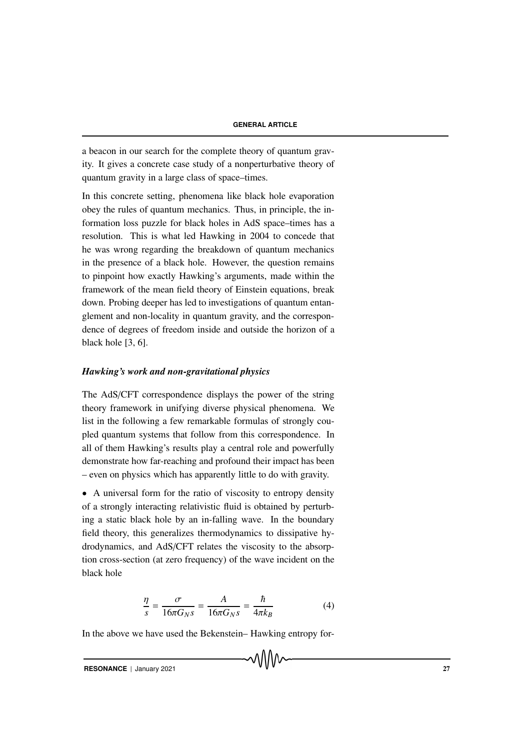a beacon in our search for the complete theory of quantum gravity. It gives a concrete case study of a nonperturbative theory of quantum gravity in a large class of space–times.

In this concrete setting, phenomena like black hole evaporation obey the rules of quantum mechanics. Thus, in principle, the information loss puzzle for black holes in AdS space–times has a resolution. This is what led Hawking in 2004 to concede that he was wrong regarding the breakdown of quantum mechanics in the presence of a black hole. However, the question remains to pinpoint how exactly Hawking's arguments, made within the framework of the mean field theory of Einstein equations, break down. Probing deeper has led to investigations of quantum entanglement and non-locality in quantum gravity, and the correspondence of degrees of freedom inside and outside the horizon of a black hole [3, 6].

#### *Hawking's work and non-gravitational physics*

The AdS/CFT correspondence displays the power of the string theory framework in unifying diverse physical phenomena. We list in the following a few remarkable formulas of strongly coupled quantum systems that follow from this correspondence. In all of them Hawking's results play a central role and powerfully demonstrate how far-reaching and profound their impact has been – even on physics which has apparently little to do with gravity.

• A universal form for the ratio of viscosity to entropy density of a strongly interacting relativistic fluid is obtained by perturbing a static black hole by an in-falling wave. In the boundary field theory, this generalizes thermodynamics to dissipative hydrodynamics, and AdS/CFT relates the viscosity to the absorption cross-section (at zero frequency) of the wave incident on the black hole

$$
\frac{\eta}{s} = \frac{\sigma}{16\pi G_N s} = \frac{A}{16\pi G_N s} = \frac{\hbar}{4\pi k_B} \tag{4}
$$

In the above we have used the Bekenstein– Hawking entropy for-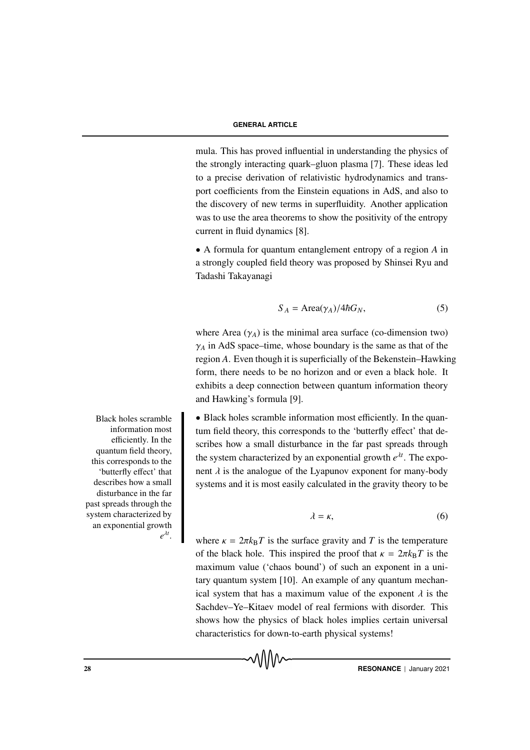mula. This has proved influential in understanding the physics of the strongly interacting quark–gluon plasma [7]. These ideas led to a precise derivation of relativistic hydrodynamics and transport coefficients from the Einstein equations in AdS, and also to the discovery of new terms in superfluidity. Another application was to use the area theorems to show the positivity of the entropy current in fluid dynamics [8].

• A formula for quantum entanglement entropy of a region *A* in a strongly coupled field theory was proposed by Shinsei Ryu and Tadashi Takayanagi

$$
S_A = \text{Area}(\gamma_A) / 4\hbar G_N,\tag{5}
$$

where Area  $(\gamma_A)$  is the minimal area surface (co-dimension two)  $\gamma_A$  in AdS space–time, whose boundary is the same as that of the region *A*. Even though it is superficially of the Bekenstein–Hawking form, there needs to be no horizon and or even a black hole. It exhibits a deep connection between quantum information theory and Hawking's formula [9].

• Black holes scramble information most efficiently. In the quantum field theory, this corresponds to the 'butterfly effect' that describes how a small disturbance in the far past spreads through the system characterized by an exponential growth  $e^{\lambda t}$ . The exponent  $\lambda$  is the analogue of the Lyapunov exponent for many-body systems and it is most easily calculated in the gravity theory to be

$$
\lambda = \kappa, \tag{6}
$$

where  $\kappa = 2\pi k_B T$  is the surface gravity and *T* is the temperature of the black hole. This inspired the proof that  $\kappa = 2\pi k_B T$  is the maximum value ('chaos bound') of such an exponent in a unitary quantum system [10]. An example of any quantum mechanical system that has a maximum value of the exponent  $\lambda$  is the Sachdev–Ye–Kitaev model of real fermions with disorder. This shows how the physics of black holes implies certain universal characteristics for down-to-earth physical systems!

MMW

Black holes scramble information most efficiently. In the quantum field theory, this corresponds to the 'butterfly effect' that describes how a small disturbance in the far past spreads through the system characterized by an exponential growth *e* λ*t* .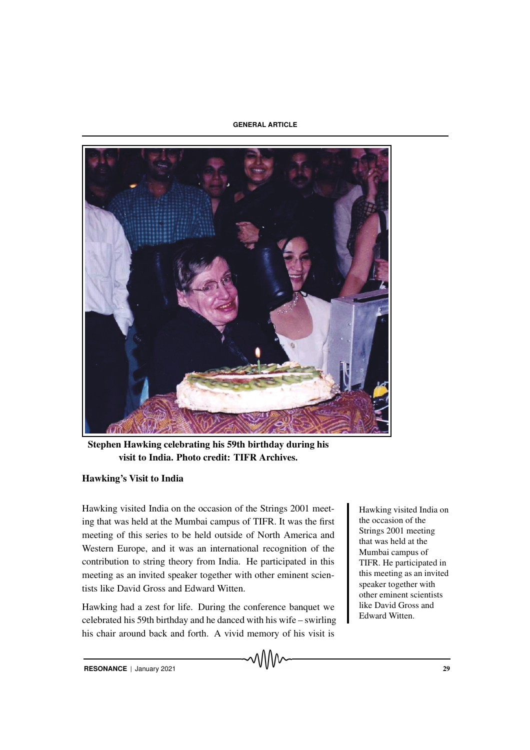

Stephen Hawking celebrating his 59th birthday during his visit to India. Photo credit: TIFR Archives.

## Hawking's Visit to India

Hawking visited India on the occasion of the Strings 2001 meet-<br>Hawking visited India on ing that was held at the Mumbai campus of TIFR. It was the first meeting of this series to be held outside of North America and Western Europe, and it was an international recognition of the contribution to string theory from India. He participated in this meeting as an invited speaker together with other eminent scientists like David Gross and Edward Witten.

Hawking had a zest for life. During the conference banquet we celebrated his 59th birthday and he danced with his wife – swirling his chair around back and forth. A vivid memory of his visit is

the occasion of the Strings 2001 meeting that was held at the Mumbai campus of TIFR. He participated in this meeting as an invited speaker together with other eminent scientists like David Gross and Edward Witten.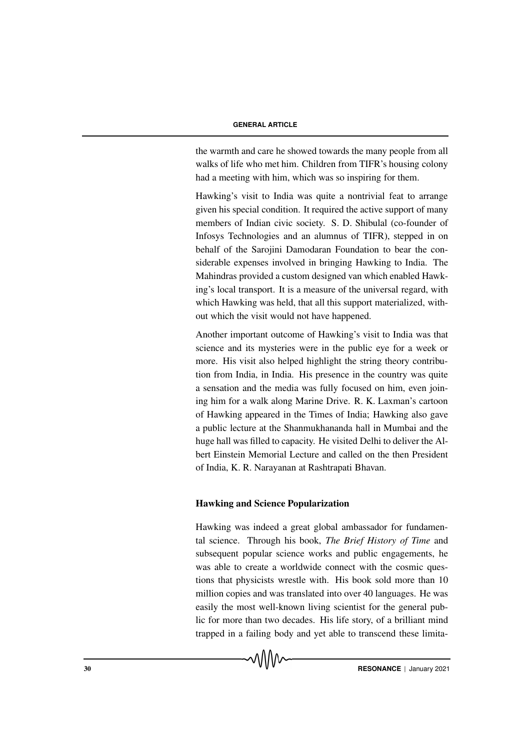the warmth and care he showed towards the many people from all walks of life who met him. Children from TIFR's housing colony had a meeting with him, which was so inspiring for them.

Hawking's visit to India was quite a nontrivial feat to arrange given his special condition. It required the active support of many members of Indian civic society. S. D. Shibulal (co-founder of Infosys Technologies and an alumnus of TIFR), stepped in on behalf of the Sarojini Damodaran Foundation to bear the considerable expenses involved in bringing Hawking to India. The Mahindras provided a custom designed van which enabled Hawking's local transport. It is a measure of the universal regard, with which Hawking was held, that all this support materialized, without which the visit would not have happened.

Another important outcome of Hawking's visit to India was that science and its mysteries were in the public eye for a week or more. His visit also helped highlight the string theory contribution from India, in India. His presence in the country was quite a sensation and the media was fully focused on him, even joining him for a walk along Marine Drive. R. K. Laxman's cartoon of Hawking appeared in the Times of India; Hawking also gave a public lecture at the Shanmukhananda hall in Mumbai and the huge hall was filled to capacity. He visited Delhi to deliver the Albert Einstein Memorial Lecture and called on the then President of India, K. R. Narayanan at Rashtrapati Bhavan.

#### Hawking and Science Popularization

Hawking was indeed a great global ambassador for fundamental science. Through his book, *The Brief History of Time* and subsequent popular science works and public engagements, he was able to create a worldwide connect with the cosmic questions that physicists wrestle with. His book sold more than 10 million copies and was translated into over 40 languages. He was easily the most well-known living scientist for the general public for more than two decades. His life story, of a brilliant mind trapped in a failing body and yet able to transcend these limita-